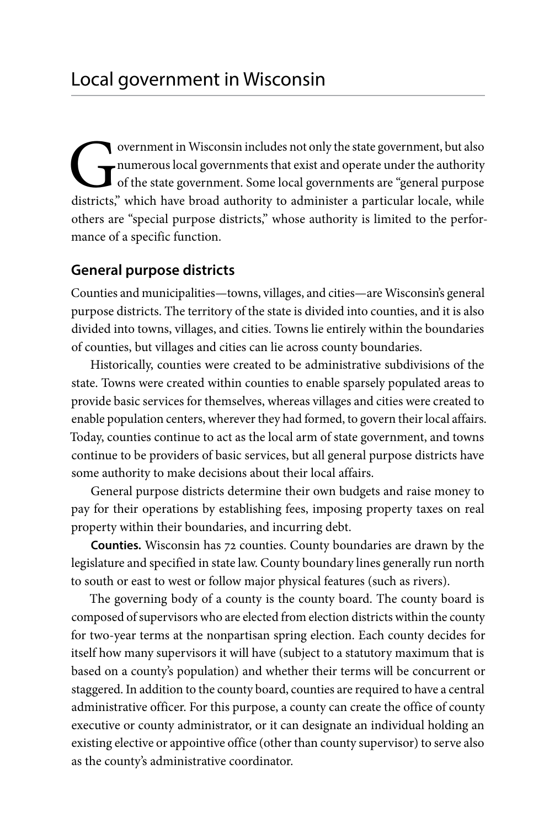**Covernment** in Wisconsin includes not only the state government, but also<br>numerous local governments that exist and operate under the authority<br>of the state government. Some local governments are "general purpose<br>district numerous local governments that exist and operate under the authority of the state government. Some local governments are "general purpose districts," which have broad authority to administer a particular locale, while others are "special purpose districts," whose authority is limited to the performance of a specific function.

## **General purpose districts**

Counties and municipalities—towns, villages, and cities—are Wisconsin's general purpose districts. The territory of the state is divided into counties, and it is also divided into towns, villages, and cities. Towns lie entirely within the boundaries of counties, but villages and cities can lie across county boundaries.

Historically, counties were created to be administrative subdivisions of the state. Towns were created within counties to enable sparsely populated areas to provide basic services for themselves, whereas villages and cities were created to enable population centers, wherever they had formed, to govern their local affairs. Today, counties continue to act as the local arm of state government, and towns continue to be providers of basic services, but all general purpose districts have some authority to make decisions about their local affairs.

General purpose districts determine their own budgets and raise money to pay for their operations by establishing fees, imposing property taxes on real property within their boundaries, and incurring debt.

**Counties.** Wisconsin has 72 counties. County boundaries are drawn by the legislature and specified in state law. County boundary lines generally run north to south or east to west or follow major physical features (such as rivers).

The governing body of a county is the county board. The county board is composed of supervisors who are elected from election districts within the county for two-year terms at the nonpartisan spring election. Each county decides for itself how many supervisors it will have (subject to a statutory maximum that is based on a county's population) and whether their terms will be concurrent or staggered. In addition to the county board, counties are required to have a central administrative officer. For this purpose, a county can create the office of county executive or county administrator, or it can designate an individual holding an existing elective or appointive office (other than county supervisor) to serve also as the county's administrative coordinator.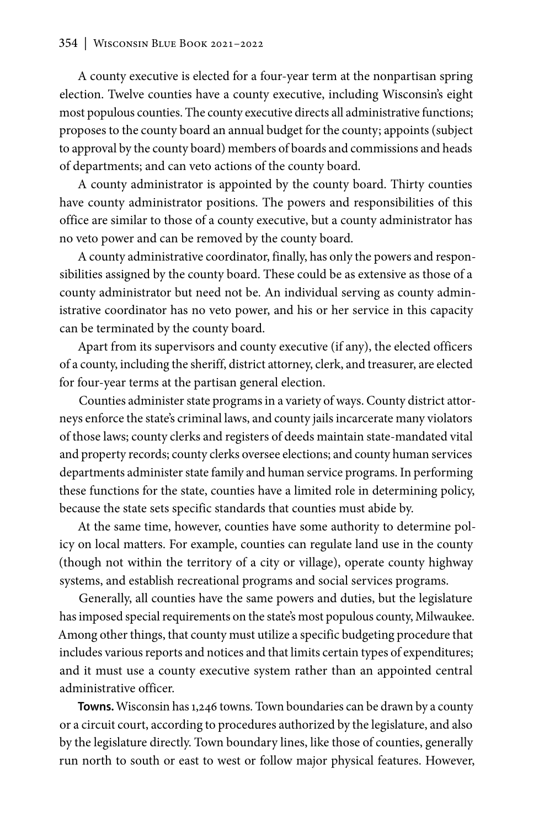A county executive is elected for a four-year term at the nonpartisan spring election. Twelve counties have a county executive, including Wisconsin's eight most populous counties. The county executive directs all administrative functions; proposes to the county board an annual budget for the county; appoints (subject to approval by the county board) members of boards and commissions and heads of departments; and can veto actions of the county board.

A county administrator is appointed by the county board. Thirty counties have county administrator positions. The powers and responsibilities of this office are similar to those of a county executive, but a county administrator has no veto power and can be removed by the county board.

A county administrative coordinator, finally, has only the powers and responsibilities assigned by the county board. These could be as extensive as those of a county administrator but need not be. An individual serving as county administrative coordinator has no veto power, and his or her service in this capacity can be terminated by the county board.

Apart from its supervisors and county executive (if any), the elected officers of a county, including the sheriff, district attorney, clerk, and treasurer, are elected for four-year terms at the partisan general election.

Counties administer state programs in a variety of ways. County district attorneys enforce the state's criminal laws, and county jails incarcerate many violators of those laws; county clerks and registers of deeds maintain state-mandated vital and property records; county clerks oversee elections; and county human services departments administer state family and human service programs. In performing these functions for the state, counties have a limited role in determining policy, because the state sets specific standards that counties must abide by.

At the same time, however, counties have some authority to determine policy on local matters. For example, counties can regulate land use in the county (though not within the territory of a city or village), operate county highway systems, and establish recreational programs and social services programs.

Generally, all counties have the same powers and duties, but the legislature has imposed special requirements on the state's most populous county, Milwaukee. Among other things, that county must utilize a specific budgeting procedure that includes various reports and notices and that limits certain types of expenditures; and it must use a county executive system rather than an appointed central administrative officer.

**Towns.** Wisconsin has 1,246 towns. Town boundaries can be drawn by a county or a circuit court, according to procedures authorized by the legislature, and also by the legislature directly. Town boundary lines, like those of counties, generally run north to south or east to west or follow major physical features. However,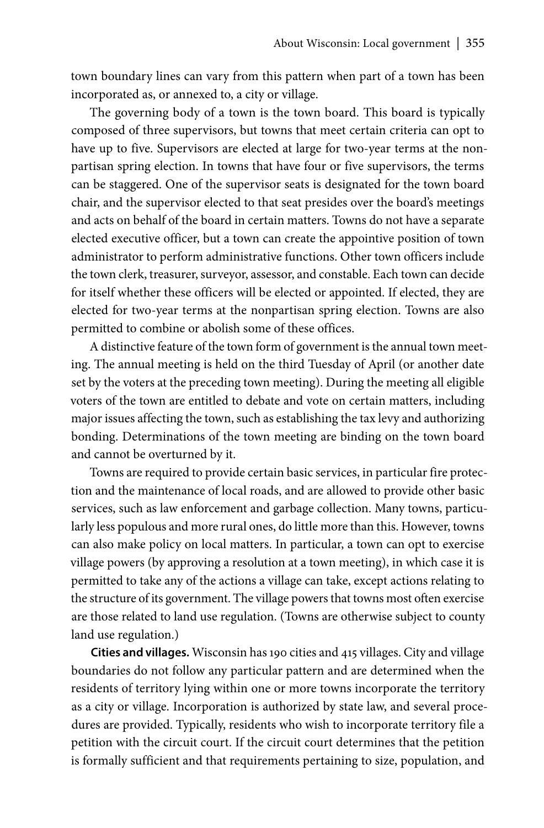town boundary lines can vary from this pattern when part of a town has been incorporated as, or annexed to, a city or village.

The governing body of a town is the town board. This board is typically composed of three supervisors, but towns that meet certain criteria can opt to have up to five. Supervisors are elected at large for two-year terms at the nonpartisan spring election. In towns that have four or five supervisors, the terms can be staggered. One of the supervisor seats is designated for the town board chair, and the supervisor elected to that seat presides over the board's meetings and acts on behalf of the board in certain matters. Towns do not have a separate elected executive officer, but a town can create the appointive position of town administrator to perform administrative functions. Other town officers include the town clerk, treasurer, surveyor, assessor, and constable. Each town can decide for itself whether these officers will be elected or appointed. If elected, they are elected for two-year terms at the nonpartisan spring election. Towns are also permitted to combine or abolish some of these offices.

A distinctive feature of the town form of government is the annual town meeting. The annual meeting is held on the third Tuesday of April (or another date set by the voters at the preceding town meeting). During the meeting all eligible voters of the town are entitled to debate and vote on certain matters, including major issues affecting the town, such as establishing the tax levy and authorizing bonding. Determinations of the town meeting are binding on the town board and cannot be overturned by it.

Towns are required to provide certain basic services, in particular fire protection and the maintenance of local roads, and are allowed to provide other basic services, such as law enforcement and garbage collection. Many towns, particularly less populous and more rural ones, do little more than this. However, towns can also make policy on local matters. In particular, a town can opt to exercise village powers (by approving a resolution at a town meeting), in which case it is permitted to take any of the actions a village can take, except actions relating to the structure of its government. The village powers that towns most often exercise are those related to land use regulation. (Towns are otherwise subject to county land use regulation.)

**Cities and villages.** Wisconsin has 190 cities and 415 villages. City and village boundaries do not follow any particular pattern and are determined when the residents of territory lying within one or more towns incorporate the territory as a city or village. Incorporation is authorized by state law, and several procedures are provided. Typically, residents who wish to incorporate territory file a petition with the circuit court. If the circuit court determines that the petition is formally sufficient and that requirements pertaining to size, population, and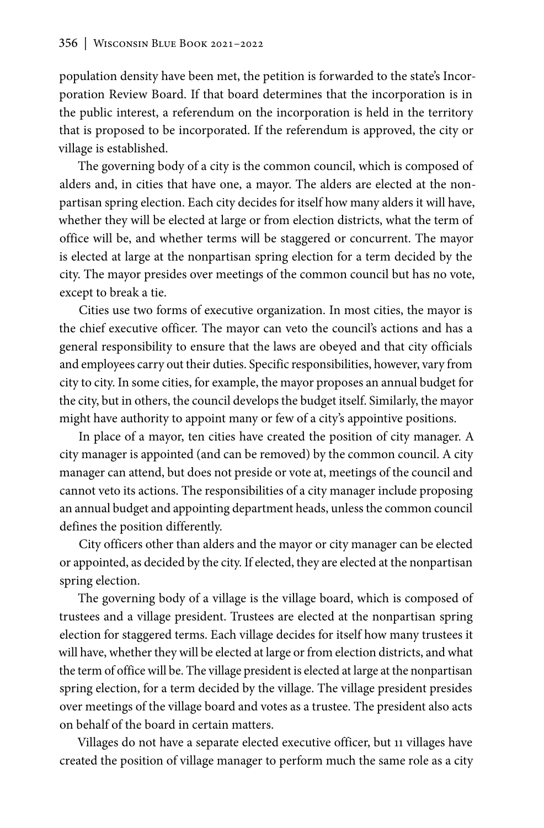population density have been met, the petition is forwarded to the state's Incorporation Review Board. If that board determines that the incorporation is in the public interest, a referendum on the incorporation is held in the territory that is proposed to be incorporated. If the referendum is approved, the city or village is established.

The governing body of a city is the common council, which is composed of alders and, in cities that have one, a mayor. The alders are elected at the nonpartisan spring election. Each city decides for itself how many alders it will have, whether they will be elected at large or from election districts, what the term of office will be, and whether terms will be staggered or concurrent. The mayor is elected at large at the nonpartisan spring election for a term decided by the city. The mayor presides over meetings of the common council but has no vote, except to break a tie.

Cities use two forms of executive organization. In most cities, the mayor is the chief executive officer. The mayor can veto the council's actions and has a general responsibility to ensure that the laws are obeyed and that city officials and employees carry out their duties. Specific responsibilities, however, vary from city to city. In some cities, for example, the mayor proposes an annual budget for the city, but in others, the council develops the budget itself. Similarly, the mayor might have authority to appoint many or few of a city's appointive positions.

In place of a mayor, ten cities have created the position of city manager. A city manager is appointed (and can be removed) by the common council. A city manager can attend, but does not preside or vote at, meetings of the council and cannot veto its actions. The responsibilities of a city manager include proposing an annual budget and appointing department heads, unless the common council defines the position differently.

City officers other than alders and the mayor or city manager can be elected or appointed, as decided by the city. If elected, they are elected at the nonpartisan spring election.

The governing body of a village is the village board, which is composed of trustees and a village president. Trustees are elected at the nonpartisan spring election for staggered terms. Each village decides for itself how many trustees it will have, whether they will be elected at large or from election districts, and what the term of office will be. The village president is elected at large at the nonpartisan spring election, for a term decided by the village. The village president presides over meetings of the village board and votes as a trustee. The president also acts on behalf of the board in certain matters.

Villages do not have a separate elected executive officer, but 11 villages have created the position of village manager to perform much the same role as a city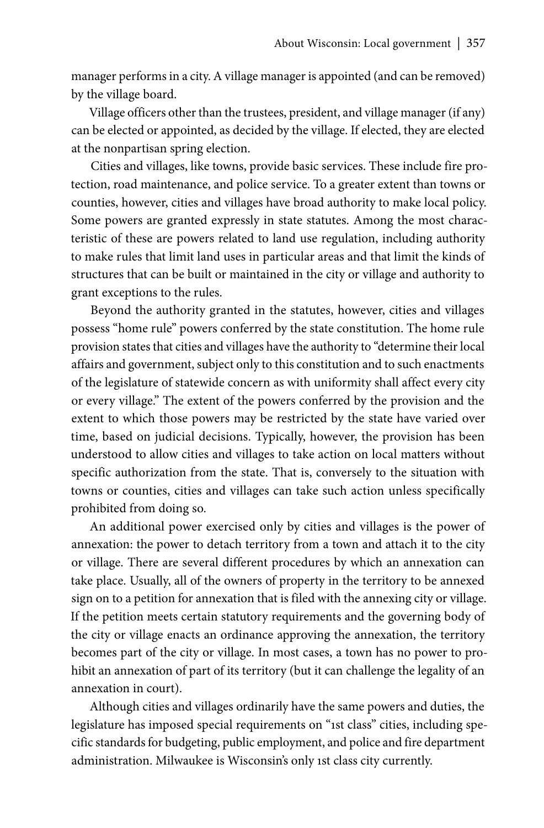manager performs in a city. A village manager is appointed (and can be removed) by the village board.

Village officers other than the trustees, president, and village manager (if any) can be elected or appointed, as decided by the village. If elected, they are elected at the nonpartisan spring election.

Cities and villages, like towns, provide basic services. These include fire protection, road maintenance, and police service. To a greater extent than towns or counties, however, cities and villages have broad authority to make local policy. Some powers are granted expressly in state statutes. Among the most characteristic of these are powers related to land use regulation, including authority to make rules that limit land uses in particular areas and that limit the kinds of structures that can be built or maintained in the city or village and authority to grant exceptions to the rules.

Beyond the authority granted in the statutes, however, cities and villages possess "home rule" powers conferred by the state constitution. The home rule provision states that cities and villages have the authority to "determine their local affairs and government, subject only to this constitution and to such enactments of the legislature of statewide concern as with uniformity shall affect every city or every village." The extent of the powers conferred by the provision and the extent to which those powers may be restricted by the state have varied over time, based on judicial decisions. Typically, however, the provision has been understood to allow cities and villages to take action on local matters without specific authorization from the state. That is, conversely to the situation with towns or counties, cities and villages can take such action unless specifically prohibited from doing so.

An additional power exercised only by cities and villages is the power of annexation: the power to detach territory from a town and attach it to the city or village. There are several different procedures by which an annexation can take place. Usually, all of the owners of property in the territory to be annexed sign on to a petition for annexation that is filed with the annexing city or village. If the petition meets certain statutory requirements and the governing body of the city or village enacts an ordinance approving the annexation, the territory becomes part of the city or village. In most cases, a town has no power to prohibit an annexation of part of its territory (but it can challenge the legality of an annexation in court).

Although cities and villages ordinarily have the same powers and duties, the legislature has imposed special requirements on "1st class" cities, including specific standards for budgeting, public employment, and police and fire department administration. Milwaukee is Wisconsin's only 1st class city currently.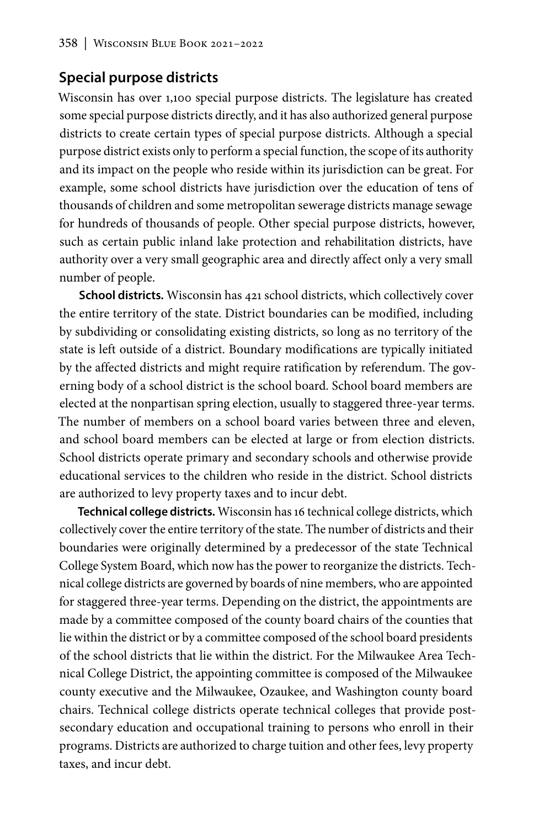## **Special purpose districts**

Wisconsin has over 1,100 special purpose districts. The legislature has created some special purpose districts directly, and it has also authorized general purpose districts to create certain types of special purpose districts. Although a special purpose district exists only to perform a special function, the scope of its authority and its impact on the people who reside within its jurisdiction can be great. For example, some school districts have jurisdiction over the education of tens of thousands of children and some metropolitan sewerage districts manage sewage for hundreds of thousands of people. Other special purpose districts, however, such as certain public inland lake protection and rehabilitation districts, have authority over a very small geographic area and directly affect only a very small number of people.

**School districts.** Wisconsin has 421 school districts, which collectively cover the entire territory of the state. District boundaries can be modified, including by subdividing or consolidating existing districts, so long as no territory of the state is left outside of a district. Boundary modifications are typically initiated by the affected districts and might require ratification by referendum. The governing body of a school district is the school board. School board members are elected at the nonpartisan spring election, usually to staggered three-year terms. The number of members on a school board varies between three and eleven, and school board members can be elected at large or from election districts. School districts operate primary and secondary schools and otherwise provide educational services to the children who reside in the district. School districts are authorized to levy property taxes and to incur debt.

**Technical college districts.** Wisconsin has 16 technical college districts, which collectively cover the entire territory of the state. The number of districts and their boundaries were originally determined by a predecessor of the state Technical College System Board, which now has the power to reorganize the districts. Technical college districts are governed by boards of nine members, who are appointed for staggered three-year terms. Depending on the district, the appointments are made by a committee composed of the county board chairs of the counties that lie within the district or by a committee composed of the school board presidents of the school districts that lie within the district. For the Milwaukee Area Technical College District, the appointing committee is composed of the Milwaukee county executive and the Milwaukee, Ozaukee, and Washington county board chairs. Technical college districts operate technical colleges that provide postsecondary education and occupational training to persons who enroll in their programs. Districts are authorized to charge tuition and other fees, levy property taxes, and incur debt.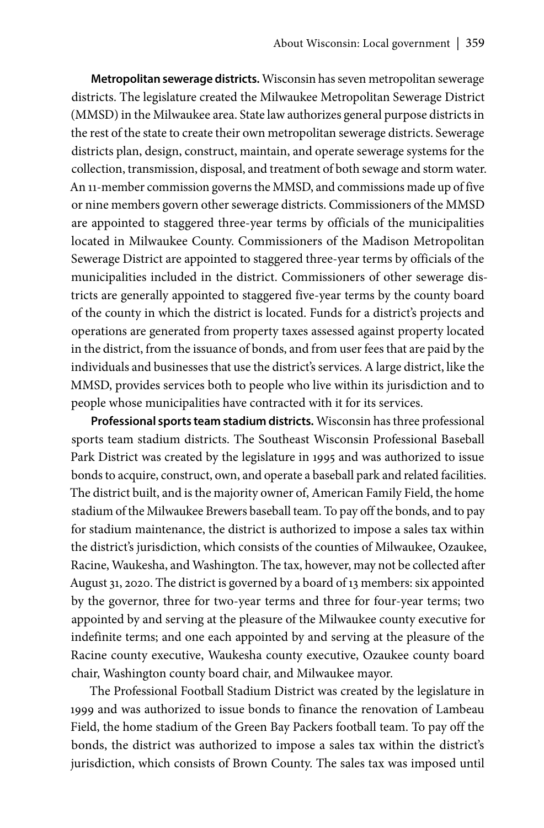**Metropolitan sewerage districts.** Wisconsin has seven metropolitan sewerage districts. The legislature created the Milwaukee Metropolitan Sewerage District (MMSD) in the Milwaukee area. State law authorizes general purpose districts in the rest of the state to create their own metropolitan sewerage districts. Sewerage districts plan, design, construct, maintain, and operate sewerage systems for the collection, transmission, disposal, and treatment of both sewage and storm water. An 11-member commission governs the MMSD, and commissions made up of five or nine members govern other sewerage districts. Commissioners of the MMSD are appointed to staggered three-year terms by officials of the municipalities located in Milwaukee County. Commissioners of the Madison Metropolitan Sewerage District are appointed to staggered three-year terms by officials of the municipalities included in the district. Commissioners of other sewerage districts are generally appointed to staggered five-year terms by the county board of the county in which the district is located. Funds for a district's projects and operations are generated from property taxes assessed against property located in the district, from the issuance of bonds, and from user fees that are paid by the individuals and businesses that use the district's services. A large district, like the MMSD, provides services both to people who live within its jurisdiction and to people whose municipalities have contracted with it for its services.

**Professional sports team stadium districts.** Wisconsin has three professional sports team stadium districts. The Southeast Wisconsin Professional Baseball Park District was created by the legislature in 1995 and was authorized to issue bonds to acquire, construct, own, and operate a baseball park and related facilities. The district built, and is the majority owner of, American Family Field, the home stadium of the Milwaukee Brewers baseball team. To pay off the bonds, and to pay for stadium maintenance, the district is authorized to impose a sales tax within the district's jurisdiction, which consists of the counties of Milwaukee, Ozaukee, Racine, Waukesha, and Washington. The tax, however, may not be collected after August 31, 2020. The district is governed by a board of 13 members: six appointed by the governor, three for two-year terms and three for four-year terms; two appointed by and serving at the pleasure of the Milwaukee county executive for indefinite terms; and one each appointed by and serving at the pleasure of the Racine county executive, Waukesha county executive, Ozaukee county board chair, Washington county board chair, and Milwaukee mayor.

The Professional Football Stadium District was created by the legislature in 1999 and was authorized to issue bonds to finance the renovation of Lambeau Field, the home stadium of the Green Bay Packers football team. To pay off the bonds, the district was authorized to impose a sales tax within the district's jurisdiction, which consists of Brown County. The sales tax was imposed until